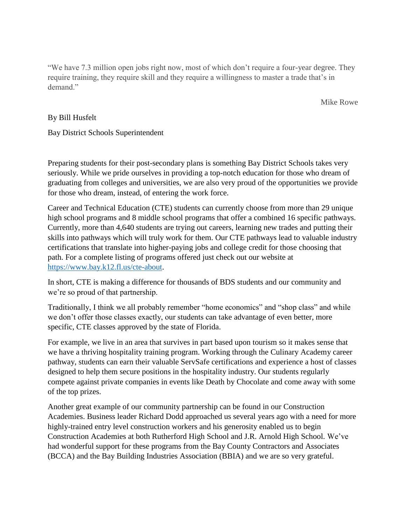"We have 7.3 million open jobs right now, most of which don't require a four-year degree. They require training, they require skill and they require a willingness to master a trade that's in demand."

Mike Rowe

## By Bill Husfelt

Bay District Schools Superintendent

Preparing students for their post-secondary plans is something Bay District Schools takes very seriously. While we pride ourselves in providing a top-notch education for those who dream of graduating from colleges and universities, we are also very proud of the opportunities we provide for those who dream, instead, of entering the work force.

Career and Technical Education (CTE) students can currently choose from more than 29 unique high school programs and 8 middle school programs that offer a combined 16 specific pathways. Currently, more than 4,640 students are trying out careers, learning new trades and putting their skills into pathways which will truly work for them. Our CTE pathways lead to valuable industry certifications that translate into higher-paying jobs and college credit for those choosing that path. For a complete listing of programs offered just check out our website at [https://www.bay.k12.fl.us/cte-about.](https://www.bay.k12.fl.us/cte-about)

In short, CTE is making a difference for thousands of BDS students and our community and we're so proud of that partnership.

Traditionally, I think we all probably remember "home economics" and "shop class" and while we don't offer those classes exactly, our students can take advantage of even better, more specific, CTE classes approved by the state of Florida.

For example, we live in an area that survives in part based upon tourism so it makes sense that we have a thriving hospitality training program. Working through the Culinary Academy career pathway, students can earn their valuable ServSafe certifications and experience a host of classes designed to help them secure positions in the hospitality industry. Our students regularly compete against private companies in events like Death by Chocolate and come away with some of the top prizes.

Another great example of our community partnership can be found in our Construction Academies. Business leader Richard Dodd approached us several years ago with a need for more highly-trained entry level construction workers and his generosity enabled us to begin Construction Academies at both Rutherford High School and J.R. Arnold High School. We've had wonderful support for these programs from the Bay County Contractors and Associates (BCCA) and the Bay Building Industries Association (BBIA) and we are so very grateful.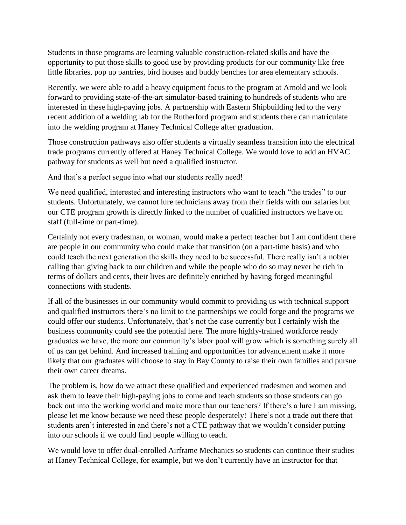Students in those programs are learning valuable construction-related skills and have the opportunity to put those skills to good use by providing products for our community like free little libraries, pop up pantries, bird houses and buddy benches for area elementary schools.

Recently, we were able to add a heavy equipment focus to the program at Arnold and we look forward to providing state-of-the-art simulator-based training to hundreds of students who are interested in these high-paying jobs. A partnership with Eastern Shipbuilding led to the very recent addition of a welding lab for the Rutherford program and students there can matriculate into the welding program at Haney Technical College after graduation.

Those construction pathways also offer students a virtually seamless transition into the electrical trade programs currently offered at Haney Technical College. We would love to add an HVAC pathway for students as well but need a qualified instructor.

And that's a perfect segue into what our students really need!

We need qualified, interested and interesting instructors who want to teach "the trades" to our students. Unfortunately, we cannot lure technicians away from their fields with our salaries but our CTE program growth is directly linked to the number of qualified instructors we have on staff (full-time or part-time).

Certainly not every tradesman, or woman, would make a perfect teacher but I am confident there are people in our community who could make that transition (on a part-time basis) and who could teach the next generation the skills they need to be successful. There really isn't a nobler calling than giving back to our children and while the people who do so may never be rich in terms of dollars and cents, their lives are definitely enriched by having forged meaningful connections with students.

If all of the businesses in our community would commit to providing us with technical support and qualified instructors there's no limit to the partnerships we could forge and the programs we could offer our students. Unfortunately, that's not the case currently but I certainly wish the business community could see the potential here. The more highly-trained workforce ready graduates we have, the more our community's labor pool will grow which is something surely all of us can get behind. And increased training and opportunities for advancement make it more likely that our graduates will choose to stay in Bay County to raise their own families and pursue their own career dreams.

The problem is, how do we attract these qualified and experienced tradesmen and women and ask them to leave their high-paying jobs to come and teach students so those students can go back out into the working world and make more than our teachers? If there's a lure I am missing, please let me know because we need these people desperately! There's not a trade out there that students aren't interested in and there's not a CTE pathway that we wouldn't consider putting into our schools if we could find people willing to teach.

We would love to offer dual-enrolled Airframe Mechanics so students can continue their studies at Haney Technical College, for example, but we don't currently have an instructor for that